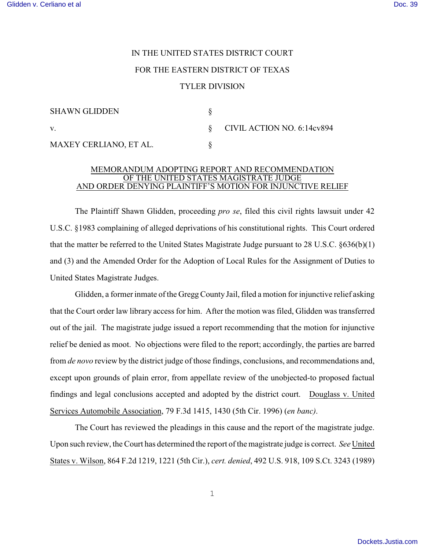## IN THE UNITED STATES DISTRICT COURT FOR THE EASTERN DISTRICT OF TEXAS TYLER DIVISION

| <b>SHAWN GLIDDEN</b>   |                                 |
|------------------------|---------------------------------|
| V.                     | $\S$ CIVIL ACTION NO. 6:14cv894 |
| MAXEY CERLIANO, ET AL. |                                 |

## MEMORANDUM ADOPTING REPORT AND RECOMMENDATION OF THE UNITED STATES MAGISTRATE JUDGE AND ORDER DENYING PLAINTIFF'S MOTION FOR INJUNCTIVE RELIEF

The Plaintiff Shawn Glidden, proceeding *pro se*, filed this civil rights lawsuit under 42 U.S.C. §1983 complaining of alleged deprivations of his constitutional rights. This Court ordered that the matter be referred to the United States Magistrate Judge pursuant to 28 U.S.C. §636(b)(1) and (3) and the Amended Order for the Adoption of Local Rules for the Assignment of Duties to United States Magistrate Judges.

Glidden, a former inmate of the Gregg County Jail, filed a motion for injunctive relief asking that the Court order law library access for him. After the motion was filed, Glidden was transferred out of the jail. The magistrate judge issued a report recommending that the motion for injunctive relief be denied as moot. No objections were filed to the report; accordingly, the parties are barred from *de novo* review by the district judge of those findings, conclusions, and recommendations and, except upon grounds of plain error, from appellate review of the unobjected-to proposed factual findings and legal conclusions accepted and adopted by the district court. Douglass v. United Services Automobile Association, 79 F.3d 1415, 1430 (5th Cir. 1996) (*en banc)*.

The Court has reviewed the pleadings in this cause and the report of the magistrate judge. Upon such review, the Court has determined the report of the magistrate judge is correct. *See* United States v. Wilson, 864 F.2d 1219, 1221 (5th Cir.), *cert. denied*, 492 U.S. 918, 109 S.Ct. 3243 (1989)